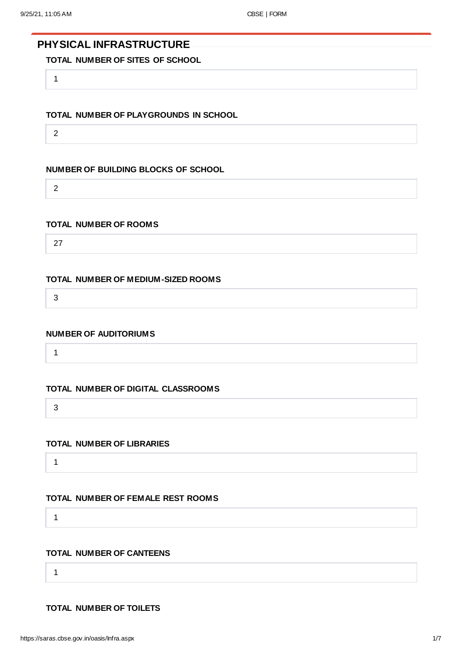# **PHYSICAL INFRASTRUCTURE**

# **TOTAL NUMBER OF SITES OF SCHOOL**

1

## **TOTAL NUMBER OF PLAYGROUNDS IN SCHOOL**

2

## **NUMBER OF BUILDING BLOCKS OF SCHOOL**

2

#### **TOTAL NUMBER OF ROOMS**

27

#### **TOTAL NUMBER OF MEDIUM-SIZED ROOMS**

3

#### **NUMBER OF AUDITORIUMS**

1

## **TOTAL NUMBER OF DIGITAL CLASSROOMS**

3

#### **TOTAL NUMBER OF LIBRARIES**

1

# **TOTAL NUMBER OF FEMALE REST ROOMS**

1

## **TOTAL NUMBER OF CANTEENS**

1

## **TOTAL NUMBER OF TOILETS**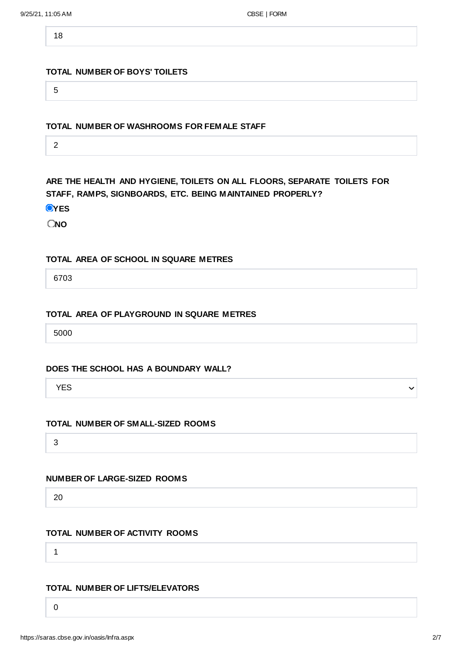18

#### **TOTAL NUMBER OF BOYS' TOILETS**

5

## **TOTAL NUMBER OF WASHROOMS FOR FEMALE STAFF**

2

**ARE THE HEALTH AND HYGIENE, TOILETS ON ALL FLOORS, SEPARATE TOILETS FOR STAFF, RAMPS, SIGNBOARDS, ETC. BEING MAINTAINED PROPERLY?**

**O**YES

**NO**

#### **TOTAL AREA OF SCHOOL IN SQUARE METRES**

6703

#### **TOTAL AREA OF PLAYGROUND IN SQUARE METRES**

5000

#### **DOES THE SCHOOL HAS A BOUNDARY WALL?**

YES

## **TOTAL NUMBER OF SMALL-SIZED ROOMS**

3

## **NUMBER OF LARGE-SIZED ROOMS**

20

# **TOTAL NUMBER OF ACTIVITY ROOMS**

1

## **TOTAL NUMBER OF LIFTS/ELEVATORS**

0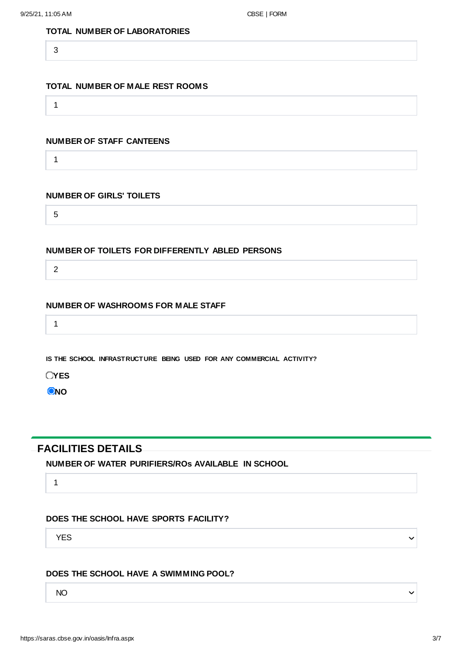## **TOTAL NUMBER OF LABORATORIES**

3

#### **TOTAL NUMBER OF MALE REST ROOMS**

1

## **NUMBER OF STAFF CANTEENS**

1

#### **NUMBER OF GIRLS' TOILETS**

5

#### **NUMBER OF TOILETS FOR DIFFERENTLY ABLED PERSONS**

2

#### **NUMBER OF WASHROOMS FOR MALE STAFF**

1

**IS THE SCHOOL INFRASTRUCTURE BEING USED FOR ANY COMMERCIAL ACTIVITY?**

**OYES** 

**O**<sub>NO</sub>

# **FACILITIES DETAILS**

**NUMBER OF WATER PURIFIERS/ROs AVAILABLE IN SCHOOL**

1

# **DOES THE SCHOOL HAVE SPORTS FACILITY?**

YES

## **DOES THE SCHOOL HAVE A SWIMMING POOL?**

NO

 $\checkmark$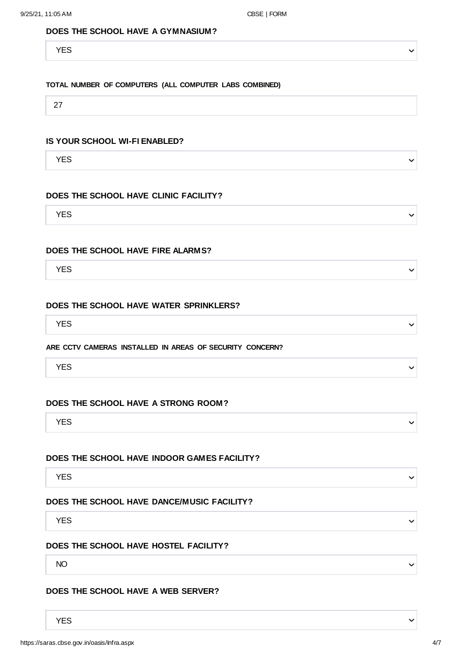#### **DOES THE SCHOOL HAVE A GYMNASIUM?**

YES

#### **TOTAL NUMBER OF COMPUTERS (ALL COMPUTER LABS COMBINED)**

27

## **IS YOUR SCHOOL WI-FI ENABLED?**

YES

#### **DOES THE SCHOOL HAVE CLINIC FACILITY?**

YES

#### **DOES THE SCHOOL HAVE FIRE ALARMS?**

YES

#### **DOES THE SCHOOL HAVE WATER SPRINKLERS?**

YES

#### **ARE CCTV CAMERAS INSTALLED IN AREAS OF SECURITY CONCERN?**

YES

#### **DOES THE SCHOOL HAVE A STRONG ROOM?**

YES

#### **DOES THE SCHOOL HAVE INDOOR GAMES FACILITY?**

YES

#### **DOES THE SCHOOL HAVE DANCE/MUSIC FACILITY?**

YES

#### **DOES THE SCHOOL HAVE HOSTEL FACILITY?**

NO

#### **DOES THE SCHOOL HAVE A WEB SERVER?**

YES

https://saras.cbse.gov.in/oasis/Infra.aspx 4/7

 $\checkmark$ 

 $\checkmark$ 

 $\checkmark$ 

 $\checkmark$ 

 $\checkmark$ 

 $\checkmark$ 

 $\checkmark$ 

 $\checkmark$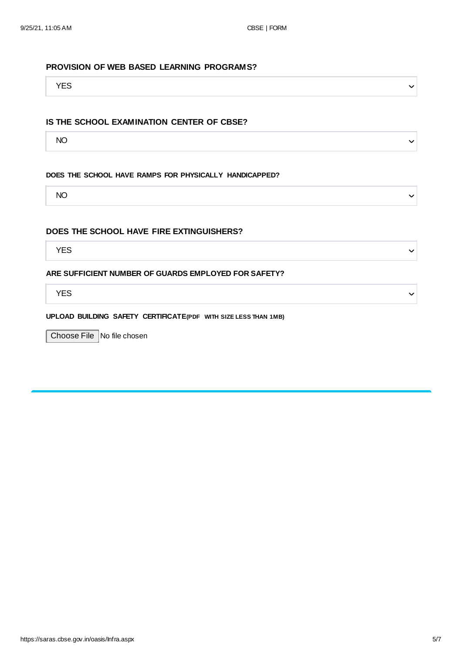#### **PROVISION OF WEB BASED LEARNING PROGRAMS?**

YES

#### **IS THE SCHOOL EXAMINATION CENTER OF CBSE?**

NO

#### **DOES THE SCHOOL HAVE RAMPS FOR PHYSICALLY HANDICAPPED?**

NO

#### **DOES THE SCHOOL HAVE FIRE EXTINGUISHERS?**

YES

#### **ARE SUFFICIENT NUMBER OF GUARDS EMPLOYED FOR SAFETY?**

YES

## **UPLOAD BUILDING SAFETY CERTIFICATE(PDF WITH SIZE LESS THAN 1MB)**

Choose File No file chosen

 $\checkmark$ 

 $\checkmark$ 

 $\checkmark$ 

 $\checkmark$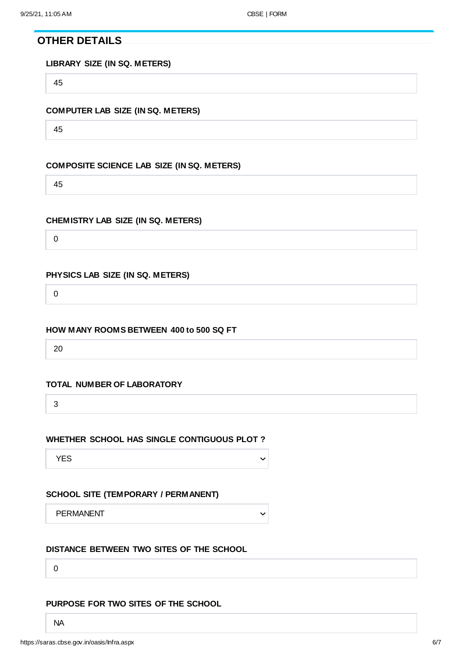**OTHER DETAILS**

**LIBRARY SIZE (IN SQ. METERS)**

45

## **COMPUTER LAB SIZE (IN SQ. METERS)**

45

## **COMPOSITE SCIENCE LAB SIZE (IN SQ. METERS)**

45

## **CHEMISTRY LAB SIZE (IN SQ. METERS)**

0

## **PHYSICS LAB SIZE (IN SQ. METERS)**

0

## **HOW MANY ROOMS BETWEEN 400 to 500 SQ FT**

20

## **TOTAL NUMBER OF LABORATORY**

3

## **WHETHER SCHOOL HAS SINGLE CONTIGUOUS PLOT ?**

YES

## **SCHOOL SITE (TEMPORARY / PERMANENT)**

PERMANENT

 $\checkmark$ 

 $\checkmark$ 

## **DISTANCE BETWEEN TWO SITES OF THE SCHOOL**

0

## **PURPOSE FOR TWO SITES OF THE SCHOOL**

NA